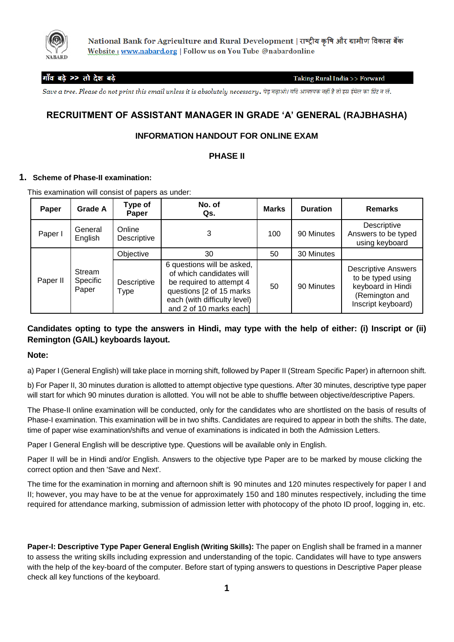

National Bank for Agriculture and Rural Development | राष्ट्रीय कृषि और ग्रामीण विकास बैंक Website: www.nabard.org | Follow us on You Tube @nabardonline

## गाँव बढ़े >> तो देश बढ़े

Taking Rural India >> Forward

Save a tree. Please do not print this email unless it is absolutely necessary. पेड बढ़ाओ। यदि आवश्यक नहीं है तो इस ईमेल का प्रिंट न लें.

# **RECRUITMENT OF ASSISTANT MANAGER IN GRADE 'A' GENERAL (RAJBHASHA)**

## **INFORMATION HANDOUT FOR ONLINE EXAM**

## **PHASE II**

### **1. Scheme of Phase-II examination:**

This examination will consist of papers as under:

| <b>Paper</b> | <b>Grade A</b>              | Type of<br>Paper      | No. of<br>Qs.                                                                                                                                                              | <b>Marks</b> | <b>Duration</b> | <b>Remarks</b>                                                                                               |
|--------------|-----------------------------|-----------------------|----------------------------------------------------------------------------------------------------------------------------------------------------------------------------|--------------|-----------------|--------------------------------------------------------------------------------------------------------------|
| Paper I      | General<br>English          | Online<br>Descriptive | 3                                                                                                                                                                          | 100          | 90 Minutes      | Descriptive<br>Answers to be typed<br>using keyboard                                                         |
|              | Stream<br>Specific<br>Paper | Objective             | 30                                                                                                                                                                         | 50           | 30 Minutes      |                                                                                                              |
| Paper II     |                             | Descriptive<br>Type   | 6 questions will be asked,<br>of which candidates will<br>be required to attempt 4<br>questions [2 of 15 marks]<br>each (with difficulty level)<br>and 2 of 10 marks each] | 50           | 90 Minutes      | <b>Descriptive Answers</b><br>to be typed using<br>keyboard in Hindi<br>(Remington and<br>Inscript keyboard) |

## **Candidates opting to type the answers in Hindi, may type with the help of either: (i) Inscript or (ii) Remington (GAIL) keyboards layout.**

### **Note:**

a) Paper I (General English) will take place in morning shift, followed by Paper II (Stream Specific Paper) in afternoon shift.

b) For Paper II, 30 minutes duration is allotted to attempt objective type questions. After 30 minutes, descriptive type paper will start for which 90 minutes duration is allotted. You will not be able to shuffle between objective/descriptive Papers.

The Phase-II online examination will be conducted, only for the candidates who are shortlisted on the basis of results of Phase-I examination. This examination will be in two shifts. Candidates are required to appear in both the shifts. The date, time of paper wise examination/shifts and venue of examinations is indicated in both the Admission Letters.

Paper I General English will be descriptive type. Questions will be available only in English.

Paper II will be in Hindi and/or English. Answers to the objective type Paper are to be marked by mouse clicking the correct option and then 'Save and Next'.

The time for the examination in morning and afternoon shift is 90 minutes and 120 minutes respectively for paper I and II; however, you may have to be at the venue for approximately 150 and 180 minutes respectively, including the time required for attendance marking, submission of admission letter with photocopy of the photo ID proof, logging in, etc.

**Paper-I: Descriptive Type Paper General English (Writing Skills):** The paper on English shall be framed in a manner to assess the writing skills including expression and understanding of the topic. Candidates will have to type answers with the help of the key-board of the computer. Before start of typing answers to questions in Descriptive Paper please check all key functions of the keyboard.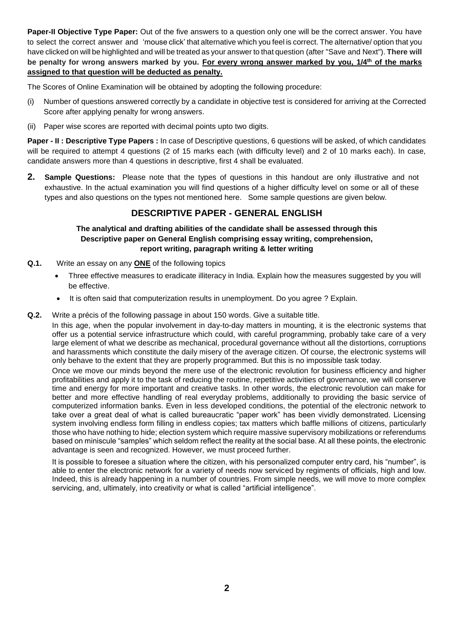**Paper-II Objective Type Paper:** Out of the five answers to a question only one will be the correct answer. You have to select the correct answer and 'mouse click' that alternative which you feel is correct. The alternative/ option that you have clicked on will be highlighted and will be treated as your answer to that question (after "Save and Next"). **There will be penalty for wrong answers marked by you. For every wrong answer marked by you, 1/4th of the marks assigned to that question will be deducted as penalty.**

The Scores of Online Examination will be obtained by adopting the following procedure:

- (i) Number of questions answered correctly by a candidate in objective test is considered for arriving at the Corrected Score after applying penalty for wrong answers.
- (ii) Paper wise scores are reported with decimal points upto two digits.

**Paper - II : Descriptive Type Papers :** In case of Descriptive questions, 6 questions will be asked, of which candidates will be required to attempt 4 questions (2 of 15 marks each (with difficulty level) and 2 of 10 marks each). In case, candidate answers more than 4 questions in descriptive, first 4 shall be evaluated.

**2. Sample Questions:** Please note that the types of questions in this handout are only illustrative and not exhaustive. In the actual examination you will find questions of a higher difficulty level on some or all of these types and also questions on the types not mentioned here. Some sample questions are given below.

# **DESCRIPTIVE PAPER - GENERAL ENGLISH**

## **The analytical and drafting abilities of the candidate shall be assessed through this Descriptive paper on General English comprising essay writing, comprehension, report writing, paragraph writing & letter writing**

- **Q.1.** Write an essay on any **ONE** of the following topics
	- Three effective measures to eradicate illiteracy in India. Explain how the measures suggested by you will be effective.
	- It is often said that computerization results in unemployment. Do you agree ? Explain.
- **Q.2.** Write a précis of the following passage in about 150 words. Give a suitable title.

In this age, when the popular involvement in day-to-day matters in mounting, it is the electronic systems that offer us a potential service infrastructure which could, with careful programming, probably take care of a very large element of what we describe as mechanical, procedural governance without all the distortions, corruptions and harassments which constitute the daily misery of the average citizen. Of course, the electronic systems will only behave to the extent that they are properly programmed. But this is no impossible task today.

Once we move our minds beyond the mere use of the electronic revolution for business efficiency and higher profitabilities and apply it to the task of reducing the routine, repetitive activities of governance, we will conserve time and energy for more important and creative tasks. In other words, the electronic revolution can make for better and more effective handling of real everyday problems, additionally to providing the basic service of computerized information banks. Even in less developed conditions, the potential of the electronic network to take over a great deal of what is called bureaucratic "paper work" has been vividly demonstrated. Licensing system involving endless form filling in endless copies; tax matters which baffle millions of citizens, particularly those who have nothing to hide; election system which require massive supervisory mobilizations or referendums based on miniscule "samples" which seldom reflect the reality at the social base. At all these points, the electronic advantage is seen and recognized. However, we must proceed further.

It is possible to foresee a situation where the citizen, with his personalized computer entry card, his "number", is able to enter the electronic network for a variety of needs now serviced by regiments of officials, high and low. Indeed, this is already happening in a number of countries. From simple needs, we will move to more complex servicing, and, ultimately, into creativity or what is called "artificial intelligence".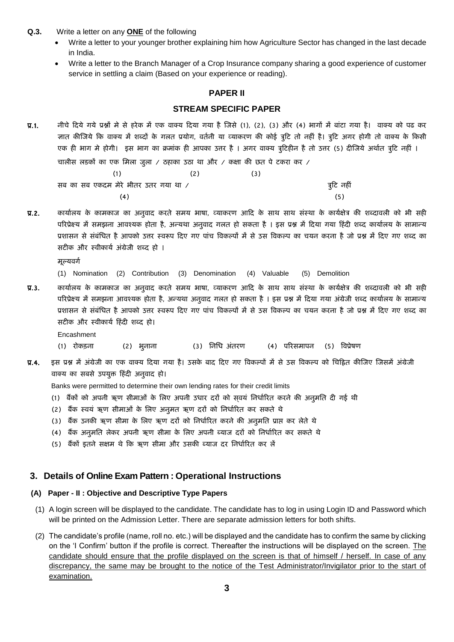- **Q.3.** Write a letter on any **ONE** of the following
	- Write a letter to your younger brother explaining him how Agriculture Sector has changed in the last decade in India.
	- Write a letter to the Branch Manager of a Crop Insurance company sharing a good experience of customer service in settling a claim (Based on your experience or reading).

## **PAPER II**

## **STREAM SPECIFIC PAPER**

प्र.1. नीचे दिये गये प्रश्नों मे से हरेक में एक वाक्य दिया गया है जिसे (1), (2), (3) और (4) भागों में बांटा गया है। वाक्य को पढ कर ज्ञात कीजिये कि वाक्य में शब्दों के गलत प्रयोग, वर्तनी या व्याकरण की कोई त्रुटि तो नहीं है। त्रुटि अगर होगी तो वाक्य के किसी एक ही भाग मे होगी। इस भाग का क्रमांक ही आपका उत्तर है । अगर वाक्य त्रुटिहीन है तो उत्तर (5) दीजिये अर्थात त्रुटि नहीं । चालीस लडकों का एक मिला जुला / ठहाका उठा था और / कक्षा की छत पे टकरा कर /

|                                      | (3) |             |
|--------------------------------------|-----|-------------|
| सब का सब एकदम मेरे भीतर उतर गया था / |     | त्रुटि नहीं |
| (4)                                  |     | (5)         |

प्र.2. कार्यालय के कामकाज का अनुवाद करते समय भाषा, व्याकरण आदि के साथ साथ संस्था के कार्यक्षेत्र की शब्दावली को भी सही परिप्रेक्ष्य में समझना आवश्यक होता है, अन्यथा अनुवाद गलत हो सकता है । इस प्रश्न में दिया गया हिंदी शब्द कार्यालय के सामान्य प्रशासन से संबंधित है आपको उत्तर स्वरूप दिए गए पांच विकल्पों में से उस विकल्प का चयन करना है जो प्रश्न में दिए गए शब्द का सटीक और स्वीकार्य अंग्रेजी शब्द हो ।

मूल्यवर्ग

(1) Nomination (2) Contribution (3) Denomination (4) Valuable (5) Demolition

प्र.3. कार्यालय के कामकाज का अनुवाद करते समय भाषा, व्याकरण आदि के साथ साथ संस्था के कार्यक्षेत्र की शब्दावली को भी सही परिप्रेक्ष्य में समझना आवश्यक होता है, अन्यथा अनुवाद गलत हो सकता है। इस प्रश्न में दिया गया अंग्रेजी शब्द कार्यालय के सामान्य प्रशासन से संबंधित है आपको उत्तर स्वरूप दिए गए पांच विकल्पों में से उस विकल्प का चयन करना है जो प्रश्न में दिए गए शब्द का सटीक और स्वीकार्य हिंदी शब्द हो।

Encashment

- (1) रोकड़ना (2) भूनाना (3) निधि अंतरण (4) परिसमापन (5) विप्रेषण
- प्र.4. इस प्रश्न में अंग्रेजी का एक वाक्य दिया गया है। उसके बाद दिए गए विकल्पों में से उस विकल्प को चिह्नित कीजिए जिसमें अंग्रेजी वाक्य का सबसे उपयुक्त हिंदी अनुवाद हो।

Banks were permitted to determine their own lending rates for their credit limits

- (1) बैंकों को अपनी ऋण सीमाओं के लिए अपनी उधार दरों को सवयं निर्धारित करने की अनुमति दी गई थी
- (2) बैंक स्वयं ऋण सीमाओं के लिए अनुमत ऋण दरों को निर्धारित कर सकते थे
- (3) बैंक उनकी ऋण सीमा के लिए ऋण दरों को निर्धारित करने की अनुमति प्राप्त कर लेते थे
- (4) बैंक अनुमति लेकर अपनी ऋण सीमा के लिए अपनी ब्याज दरों को निर्धारित कर सकते थे
- (5) बैंकों इतने सक्षम थे कि ऋण सीमा और उसकी ब्याज दर निर्धारित कर लें

### **3. Details of Online Exam Pattern : Operational Instructions**

#### **(A) Paper - II : Objective and Descriptive Type Papers**

- (1) A login screen will be displayed to the candidate. The candidate has to log in using Login ID and Password which will be printed on the Admission Letter. There are separate admission letters for both shifts.
- (2) The candidate's profile (name, roll no. etc.) will be displayed and the candidate has to confirm the same by clicking on the 'I Confirm' button if the profile is correct. Thereafter the instructions will be displayed on the screen. The candidate should ensure that the profile displayed on the screen is that of himself / herself. In case of any discrepancy, the same may be brought to the notice of the Test Administrator/Invigilator prior to the start of examination.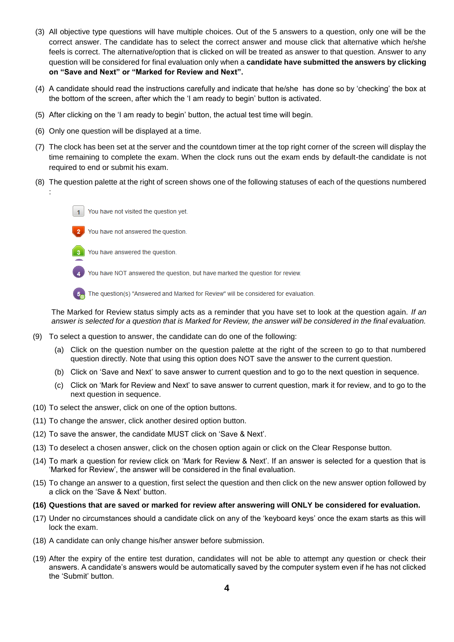- (3) All objective type questions will have multiple choices. Out of the 5 answers to a question, only one will be the correct answer. The candidate has to select the correct answer and mouse click that alternative which he/she feels is correct. The alternative/option that is clicked on will be treated as answer to that question. Answer to any question will be considered for final evaluation only when a **candidate have submitted the answers by clicking on "Save and Next" or "Marked for Review and Next".**
- (4) A candidate should read the instructions carefully and indicate that he/she has done so by 'checking' the box at the bottom of the screen, after which the 'I am ready to begin' button is activated.
- (5) After clicking on the 'I am ready to begin' button, the actual test time will begin.
- (6) Only one question will be displayed at a time.
- (7) The clock has been set at the server and the countdown timer at the top right corner of the screen will display the time remaining to complete the exam. When the clock runs out the exam ends by default-the candidate is not required to end or submit his exam.
- (8) The question palette at the right of screen shows one of the following statuses of each of the questions numbered





:

You have answered the question.

You have NOT answered the question, but have marked the question for review.

The question(s) "Answered and Marked for Review" will be considered for evaluation.

The Marked for Review status simply acts as a reminder that you have set to look at the question again. *If an answer is selected for a question that is Marked for Review, the answer will be considered in the final evaluation.*

- (9) To select a question to answer, the candidate can do one of the following:
	- (a) Click on the question number on the question palette at the right of the screen to go to that numbered question directly. Note that using this option does NOT save the answer to the current question.
	- (b) Click on 'Save and Next' to save answer to current question and to go to the next question in sequence.
	- (c) Click on 'Mark for Review and Next' to save answer to current question, mark it for review, and to go to the next question in sequence.
- (10) To select the answer, click on one of the option buttons.
- (11) To change the answer, click another desired option button.
- (12) To save the answer, the candidate MUST click on 'Save & Next'.
- (13) To deselect a chosen answer, click on the chosen option again or click on the Clear Response button.
- (14) To mark a question for review click on 'Mark for Review & Next'. If an answer is selected for a question that is 'Marked for Review', the answer will be considered in the final evaluation.
- (15) To change an answer to a question, first select the question and then click on the new answer option followed by a click on the 'Save & Next' button.

#### **(16) Questions that are saved or marked for review after answering will ONLY be considered for evaluation.**

- (17) Under no circumstances should a candidate click on any of the 'keyboard keys' once the exam starts as this will lock the exam.
- (18) A candidate can only change his/her answer before submission.
- (19) After the expiry of the entire test duration, candidates will not be able to attempt any question or check their answers. A candidate's answers would be automatically saved by the computer system even if he has not clicked the 'Submit' button.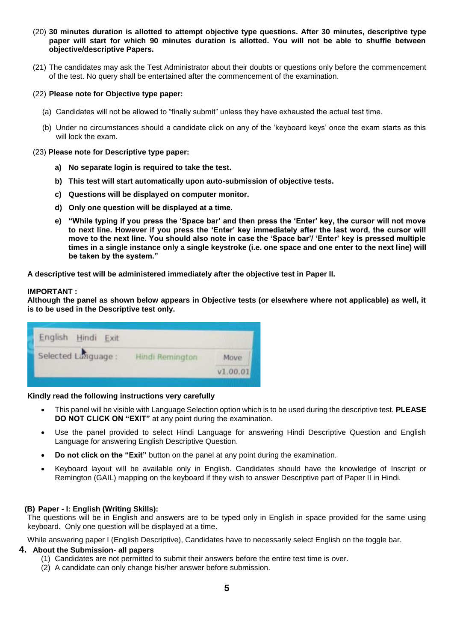- (20) **30 minutes duration is allotted to attempt objective type questions. After 30 minutes, descriptive type paper will start for which 90 minutes duration is allotted. You will not be able to shuffle between objective/descriptive Papers.**
- (21) The candidates may ask the Test Administrator about their doubts or questions only before the commencement of the test. No query shall be entertained after the commencement of the examination.

#### (22) **Please note for Objective type paper:**

- (a) Candidates will not be allowed to "finally submit" unless they have exhausted the actual test time.
- (b) Under no circumstances should a candidate click on any of the 'keyboard keys' once the exam starts as this will lock the exam.

#### (23) **Please note for Descriptive type paper:**

- **a) No separate login is required to take the test.**
- **b) This test will start automatically upon auto-submission of objective tests.**
- **c) Questions will be displayed on computer monitor.**
- **d) Only one question will be displayed at a time.**
- **e) "While typing if you press the 'Space bar' and then press the 'Enter' key, the cursor will not move to next line. However if you press the 'Enter' key immediately after the last word, the cursor will move to the next line. You should also note in case the 'Space bar'/ 'Enter' key is pressed multiple times in a single instance only a single keystroke (i.e. one space and one enter to the next line) will be taken by the system."**

**A descriptive test will be administered immediately after the objective test in Paper II.**

#### **IMPORTANT :**

**Although the panel as shown below appears in Objective tests (or elsewhere where not applicable) as well, it is to be used in the Descriptive test only.** 

| English Hindi Exit  |                 |          |
|---------------------|-----------------|----------|
| Selected Language : | Hindi Remington | Move     |
|                     |                 | V1.00.01 |

#### **Kindly read the following instructions very carefully**

- This panel will be visible with Language Selection option which is to be used during the descriptive test. **PLEASE DO NOT CLICK ON "EXIT"** at any point during the examination.
- Use the panel provided to select Hindi Language for answering Hindi Descriptive Question and English Language for answering English Descriptive Question.
- **Do not click on the "Exit"** button on the panel at any point during the examination.
- Keyboard layout will be available only in English. Candidates should have the knowledge of Inscript or Remington (GAIL) mapping on the keyboard if they wish to answer Descriptive part of Paper II in Hindi.

#### **(B) Paper - I: English (Writing Skills):**

The questions will be in English and answers are to be typed only in English in space provided for the same using keyboard. Only one question will be displayed at a time.

While answering paper I (English Descriptive), Candidates have to necessarily select English on the toggle bar.

#### **4. About the Submission- all papers**

- (1) Candidates are not permitted to submit their answers before the entire test time is over.
- (2) A candidate can only change his/her answer before submission.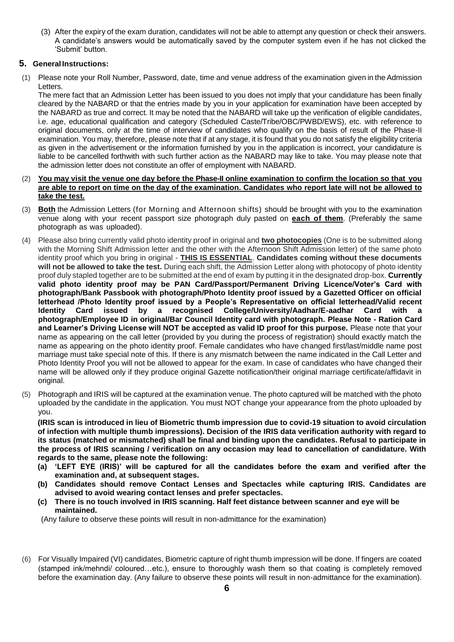(3) After the expiry of the exam duration, candidates will not be able to attempt any question or check their answers. A candidate's answers would be automatically saved by the computer system even if he has not clicked the 'Submit' button.

## **5. General Instructions:**

(1) Please note your Roll Number, Password, date, time and venue address of the examination given in theAdmission Letters.

The mere fact that an Admission Letter has been issued to you does not imply that your candidature has been finally cleared by the NABARD or that the entries made by you in your application for examination have been accepted by the NABARD as true and correct. It may be noted that the NABARD will take up the verification of eligible candidates, i.e. age, educational qualification and category (Scheduled Caste/Tribe/OBC/PWBD/EWS), etc. with reference to original documents, only at the time of interview of candidates who qualify on the basis of result of the Phase-II examination. You may, therefore, please note that if at any stage, it is found that you do not satisfy the eligibility criteria as given in the advertisement or the information furnished by you in the application is incorrect, your candidature is liable to be cancelled forthwith with such further action as the NABARD may like to take. You may please note that the admission letter does not constitute an offer of employment with NABARD.

#### (2) You may visit the venue one day before the Phase-II online examination to confirm the location so that you **are able to report on time on the day of the examination. Candidates who report late will not be allowed to take the test.**

- (3) **Both** the Admission Letters (for Morning and Afternoon shifts) should be brought with you to the examination venue along with your recent passport size photograph duly pasted on **each of them**. (Preferably the same photograph as was uploaded).
- (4) Please also bring currently valid photo identity proof in original and **two photocopies** (One is to be submitted along with the Morning Shift Admission letter and the other with the Afternoon Shift Admission letter) of the same photo identity proof which you bring in original - **THIS IS ESSENTIAL**. **Candidates coming without these documents will not be allowed to take the test.** During each shift, the Admission Letter along with photocopy of photo identity proof duly stapled together are to be submitted at the end of exam by putting it in the designated drop-box. **Currently valid photo identity proof may be PAN Card/Passport/Permanent Driving Licence/Voter's Card with photograph/Bank Passbook with photograph/Photo Identity proof issued by a Gazetted Officer on official letterhead /Photo Identity proof issued by a People's Representative on official letterhead/Valid recent Identity Card issued by a recognised College/University/Aadhar/E-aadhar Card with a photograph/Employee ID in original/Bar Council Identity card with photograph. Please Note - Ration Card and Learner's Driving License will NOT be accepted as valid ID proof for this purpose.** Please note that your name as appearing on the call letter (provided by you during the process of registration) should exactly match the name as appearing on the photo identity proof. Female candidates who have changed first/last/middle name post marriage must take special note of this. If there is any mismatch between the name indicated in the Call Letter and Photo Identity Proof you will not be allowed to appear for the exam. In case of candidates who have changed their name will be allowed only if they produce original Gazette notification/their original marriage certificate/affidavit in original.
- (5) Photograph and IRIS will be captured at the examination venue. The photo captured will be matched with the photo uploaded by the candidate in the application. You must NOT change your appearance from the photo uploaded by you.

**(IRIS scan is introduced in lieu of Biometric thumb impression due to covid-19 situation to avoid circulation of infection with multiple thumb impressions). Decision of the IRIS data verification authority with regard to its status (matched or mismatched) shall be final and binding upon the candidates. Refusal to participate in the process of IRIS scanning / verification on any occasion may lead to cancellation of candidature. With regards to the same, please note the following:**

- **(a) 'LEFT EYE (IRIS)' will be captured for all the candidates before the exam and verified after the examination and, at subsequent stages.**
- **(b) Candidates should remove Contact Lenses and Spectacles while capturing IRIS. Candidates are advised to avoid wearing contact lenses and prefer spectacles.**
- **(c) There is no touch involved in IRIS scanning. Half feet distance between scanner and eye will be maintained.**

(Any failure to observe these points will result in non-admittance for the examination)

(6) For Visually Impaired (VI) candidates, Biometric capture of right thumb impression will be done. If fingers are coated (stamped ink/mehndi/ coloured…etc.), ensure to thoroughly wash them so that coating is completely removed before the examination day. (Any failure to observe these points will result in non-admittance for the examination).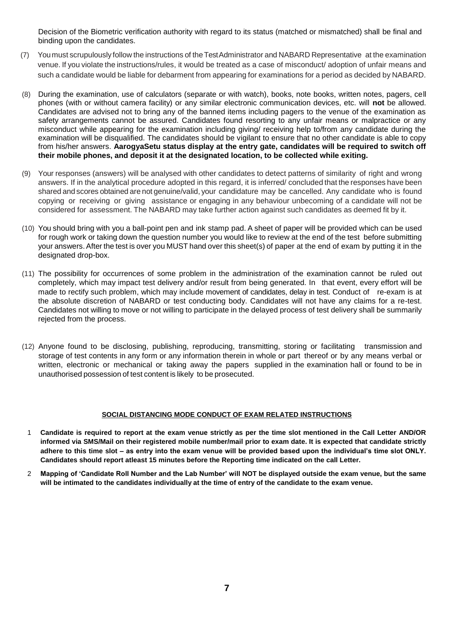Decision of the Biometric verification authority with regard to its status (matched or mismatched) shall be final and binding upon the candidates.

- (7) Youmust scrupulously follow the instructions of theTestAdministrator and NABARD Representative at the examination venue. If you violate the instructions/rules, it would be treated as a case of misconduct/ adoption of unfair means and such a candidate would be liable for debarment from appearing for examinations for a period as decided by NABARD.
- (8) During the examination, use of calculators (separate or with watch), books, note books, written notes, pagers, cell phones (with or without camera facility) or any similar electronic communication devices, etc. will **not** be allowed. Candidates are advised not to bring any of the banned items including pagers to the venue of the examination as safety arrangements cannot be assured. Candidates found resorting to any unfair means or malpractice or any misconduct while appearing for the examination including giving/ receiving help to/from any candidate during the examination will be disqualified. The candidates should be vigilant to ensure that no other candidate is able to copy from his/her answers. **AarogyaSetu status display at the entry gate, candidates will be required to switch off their mobile phones, and deposit it at the designated location, to be collected while exiting.**
- (9) Your responses (answers) will be analysed with other candidates to detect patterns of similarity of right and wrong answers. If in the analytical procedure adopted in this regard, it is inferred/ concluded that the responses have been shared and scores obtained are not genuine/valid, your candidature may be cancelled. Any candidate who is found copying or receiving or giving assistance or engaging in any behaviour unbecoming of a candidate will not be considered for assessment. The NABARD may take further action against such candidates as deemed fit by it.
- (10) You should bring with you a ball-point pen and ink stamp pad. A sheet of paper will be provided which can be used for rough work or taking down the question number you would like to review at the end of the test before submitting your answers.After the test is over you MUST hand over this sheet(s) of paper at the end of exam by putting it in the designated drop-box.
- (11) The possibility for occurrences of some problem in the administration of the examination cannot be ruled out completely, which may impact test delivery and/or result from being generated. In that event, every effort will be made to rectify such problem, which may include movement of candidates, delay in test. Conduct of re-exam is at the absolute discretion of NABARD or test conducting body. Candidates will not have any claims for a re-test. Candidates not willing to move or not willing to participate in the delayed process of test delivery shall be summarily rejected from the process.
- (12) Anyone found to be disclosing, publishing, reproducing, transmitting, storing or facilitating transmission and storage of test contents in any form or any information therein in whole or part thereof or by any means verbal or written, electronic or mechanical or taking away the papers supplied in the examination hall or found to be in unauthorised possession of test content is likely to be prosecuted.

#### **SOCIAL DISTANCING MODE CONDUCT OF EXAM RELATED INSTRUCTIONS**

- 1 **Candidate is required to report at the exam venue strictly as per the time slot mentioned in the Call Letter AND/OR informed via SMS/Mail on their registered mobile number/mail prior to exam date. It is expected that candidate strictly adhere to this time slot – as entry into the exam venue will be provided based upon the individual's time slot ONLY. Candidates should report atleast 15 minutes before the Reporting time indicated on the call Letter.**
- 2 **Mapping of 'Candidate Roll Number and the Lab Number' will NOT be displayed outside the exam venue, but the same will be intimated to the candidates individually at the time of entry of the candidate to the exam venue.**